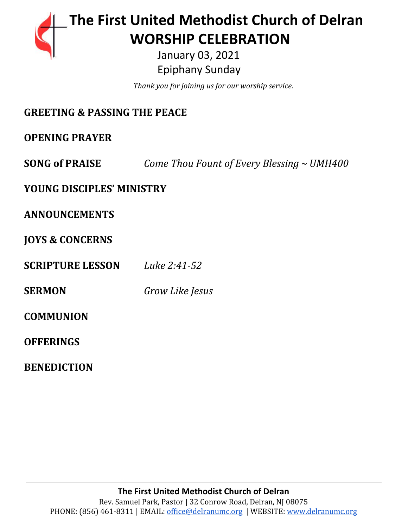

# **The First United Methodist Church of Delran** …… … **WORSHIP CELEBRATION**

 January 03, 2021 Epiphany Sunday

………………………………………*..Thank you for joining us for our worship service.*

| <b>GREETING &amp; PASSING THE PEACE</b>         |  |
|-------------------------------------------------|--|
|                                                 |  |
| Come Thou Fount of Every Blessing $\sim$ UMH400 |  |
| <b>YOUNG DISCIPLES' MINISTRY</b>                |  |
|                                                 |  |
|                                                 |  |
| Luke 2:41-52                                    |  |
| Grow Like Jesus                                 |  |
|                                                 |  |
|                                                 |  |
|                                                 |  |

**BENEDICTION**